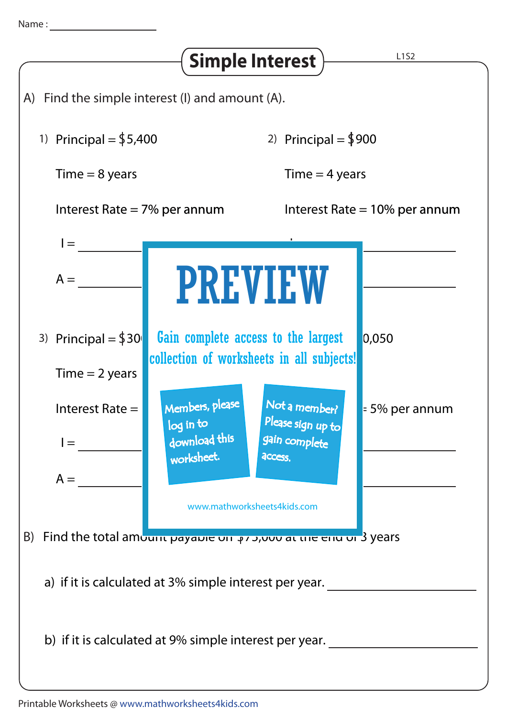